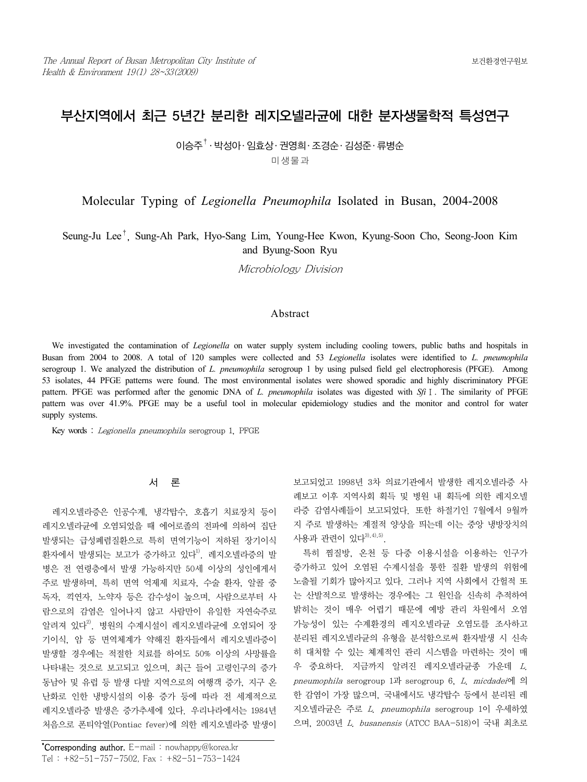# 부산지역에서 최근 5년간 분리한 레지오넬라균에 대한 분자생물학적 특성연구

 $0$  승주 $^{\dagger}$  · 박성아 · 임효상 · 권영희 · 조경순 · 김성준 · 류병순 미생물과

Molecular Typing of *Legionella Pneumophila* Isolated in Busan, 2004-2008

Seung-Ju Lee†, Sung-Ah Park, Hyo-Sang Lim, Young-Hee Kwon, Kyung-Soon Cho, Seong-Joon Kim and Byung-Soon Ryu

Microbiology Division

## Abstract

We investigated the contamination of *Legionella* on water supply system including cooling towers, public baths and hospitals in Busan from 2004 to 2008. A total of 120 samples were collected and 53 *Legionella* isolates were identified to *L. pneumophila* serogroup 1. We analyzed the distribution of *L. pneumophila* serogroup 1 by using pulsed field gel electrophoresis (PFGE). Among 53 isolates, 44 PFGE patterns were found. The most environmental isolates were showed sporadic and highly discriminatory PFGE pattern. PFGE was performed after the genomic DNA of *L. pneumophila* isolates was digested with *Sfi*Ⅰ. The similarity of PFGE pattern was over 41.9%. PFGE may be a useful tool in molecular epidemiology studies and the monitor and control for water supply systems.

Key words : Legionella pneumophila serogroup 1, PFGE

## 서 론

레지오넬라증은 인공수계, 냉각탑수, 호흡기 치료장치 등이 레지오넬라균에 오염되었을 때 에어로졸의 전파에 의하여 집단 발생되는 급성폐렴질환으로 특히 면역기능이 저하된 장기이식 환자에서 발생되는 보고가 증가하고 있다<sup>1)</sup>. 레지오넬라증의 발 병은 전 연령층에서 발생 가능하지만 50세 이상의 성인에게서 주로 발생하며, 특히 면역 억제제 치료자, 수술 환자, 알콜 중 독자, 끽연자, 노약자 등은 감수성이 높으며, 사람으로부터 사 람으로의 감염은 일어나지 않고 사람만이 유일한 자연숙주로 알려져 있다<sup>2)</sup>. 병원의 수계시설이 레지오넬라규에 오염되어 장 기이식, 암 등 면역체계가 약해진 환자들에서 레지오넬라증이 발생할 경우에는 적절한 치료를 하여도 50% 이상의 사망률을 나타내는 것으로 보고되고 있으며, 최근 들어 고령인구의 증가 동남아 및 유럽 등 발생 다발 지역으로의 여행객 증가, 지구 온 난화로 인한 냉방시설의 이용 증가 등에 따라 전 세계적으로 레지오넬라증 발생은 증가추세에 있다. 우리나라에서는 1984년 처음으로 폰티악열(Pontiac fever)에 의한 레지오넬라증 발생이 보고되었고 1998년 3차 의료기관에서 발생한 레지오넬라증 사 례보고 이후 지역사회 획득 및 병원 내 획득에 의한 레지오넬 라증 감염사례들이 보고되었다. 또한 하절기인 7월에서 9월까 지 주로 발생하는 계절적 양상을 띄는데 이는 중앙 냉방장치의 사용과 관련이 있다<sup>3), 4), 5)</sup>.

특히 찜질방, 온천 등 다중 이용시설을 이용하는 인구가 증가하고 있어 오염된 수계시설을 통한 질환 발생의 위험에 노출될 기회가 많아지고 있다. 그러나 지역 사회에서 간헐적 또 는 산발적으로 발생하는 경우에는 그 원인을 신속히 추적하여 밝히는 것이 매우 어렵기 때문에 예방 관리 차원에서 오염 가능성이 있는 수계환경의 레지오넬라균 오염도를 조사하고 분리된 레지오넬라균의 유형을 분석함으로써 환자발생 시 신속 히 대처할 수 있는 쳬계적인 관리 시스템을 마련하는 것이 매 우 중요하다. 지금까지 알려진 레지오넬라균종 가운데 L. pneumophila serogroup 1과 serogroup 6, L. micdadei에 의 한 감염이 가장 많으며, 국내에서도 냉각탑수 등에서 분리된 레 지오넬라균은 주로 L. pneumophila serogroup 1이 우세하였 으며, 2003년 L. busanensis (ATCC BAA-518)이 국내 최초로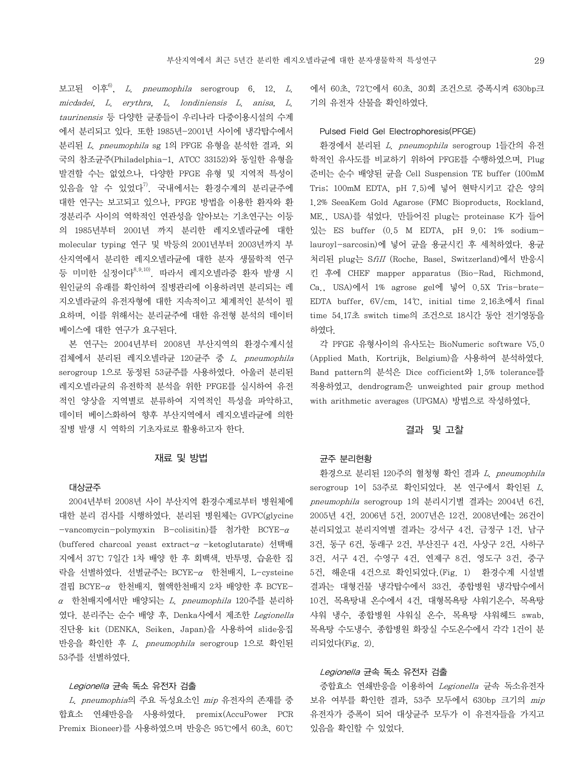보고된 이후 $^{6}$ , L. pneumophila serogroup 6, 12, L. micdadei, L. erythra, L. londiniensis L. anisa, L. taurinensis 등 다양한 균종들이 우리나라 다중이용시설의 수계 에서 분리되고 있다. 또한 1985년-2001년 사이에 냉각탑수에서 분리된 L. pneumophila sg 1의 PFGE 유형을 분석한 결과, 외 국의 참조균주(Philadelphia-1, ATCC 33152)와 동일한 유형을 발견할 수는 없었으나, 다양한 PFGE 유형 및 지역적 특성이 있음을 알 수 있었다 $^{70}$ . 국내에서는 환경수계의 분리균주에 대한 연구는 보고되고 있으나, PFGE 방법을 이용한 환자와 환 경분리주 사이의 역학적인 연관성을 알아보는 기초연구는 이등 의 1985년부터 2001년 까지 분리한 레지오넬라균에 대한 molecular typing 연구 및 박등의 2001년부터 2003년까지 부 산지역에서 분리한 레지오넬라균에 대한 분자 생물학적 연구 등 미미한 실정이다 $^{8,9,10}$ . 따라서 레지오넬라증 환자 발생 시 원인균의 유래를 확인하여 질병관리에 이용하려면 분리되는 레 지오넬라균의 유전자형에 대한 지속적이고 체계적인 분석이 필 요하며, 이를 위해서는 분리균주에 대한 유전형 분석의 데이터 베이스에 대한 연구가 요구된다.

본 연구는 2004년부터 2008년 부산지역의 환경수계시설 검체에서 분리된 레지오넬라균 120균주 중 L. pneumophila serogroup 1으로 동정된 53균주를 사용하였다. 아울러 분리된 레지오넬라균의 유전학적 분석을 위한 PFGE를 실시하여 유전 적인 양상을 지역별로 분류하여 지역적인 특성을 파악하고, 데이터 베이스화하여 향후 부산지역에서 레지오넬라균에 의한 질병 발생 시 역학의 기초자료로 활용하고자 한다.

#### 재료 및 방법

#### 대상균주

2004년부터 2008년 사이 부산지역 환경수계로부터 병원체에 대한 분리 검사를 시행하였다. 분리된 병원체는 GVPC(glycine -vancomycin-polymyxin B-colisitin)를 첨가한 BCYE-α (buffered charcoal yeast extract-α-ketoglutarate) 선택배 지에서 37℃ 7일간 1차 배양 한 후 회백색, 반투명, 습윤한 집 락을 선별하였다. 선별균주는 BCYE-α 한천배지, L-cysteine 결핍 BCYE-α 한천배지, 혈액한천배지 2차 배양한 후 BCYEα 한천배지에서만 배양되는 L. pneumophila 120주를 분리하 였다. 분리주는 순수 배양 후, Denka사에서 제조한 Legionella 진단용 kit (DENKA, Seiken, Japan)을 사용하여 slide응집 반응을 확인한 후 L. pneumophila serogroup 1으로 확인된 53주를 선별하였다.

## Legionella 균속 독소 유전자 검출

L. pneumophia의 주요 독성요소인 mip 유전자의 존재를 중 합효소 연쇄반응을 사용하였다. premix(AccuPower PCR Premix Bioneer)를 사용하였으며 반응은 95℃에서 60초, 60℃

에서 60초, 72℃에서 60초, 30회 조건으로 증폭시켜 630bp크 기의 유전자 산물을 확인하였다.

#### Pulsed Field Gel Electrophoresis(PFGE)

환경에서 분리된 L. pneumophila serogroup 1들간의 유전 학적인 유사도를 비교하기 위하여 PFGE를 수행하였으며, Plug 준비는 순수 배양된 균을 Cell Suspension TE buffer (100mM Tris; 100mM EDTA, pH 7.5)에 넣어 현탁시키고 같은 양의 1.2% SeeaKem Gold Agarose (FMC Bioproducts, Rockland, ME., USA)를 섞었다. 만들어진 plug는 proteinase K가 들어 있는 ES buffer (0.5 M EDTA, pH 9.0; 1% sodiumlauroyl-sarcosin)에 넣어 균을 용균시킨 후 세척하였다. 용균 처리된 plug는 SfiII (Roche, Basel, Switzerland)에서 반응시 킨 후에 CHEF mapper apparatus (Bio-Rad, Richmond, Ca., USA)에서 1% agrose gel에 넣어 0.5X Tris-brate-EDTA buffer, 6V/cm, 14℃, initial time 2.16초에서 final time 54.17초 switch time의 조건으로 18시간 동안 전기영동을 하였다.

각 PFGE 유형사이의 유사도는 BioNumeric software V5.0 (Applied Math. Kortrijk, Belgium)을 사용하여 분석하였다. Band pattern의 분석은 Dice cofficient와 1.5% tolerance를 적용하였고, dendrogram은 unweighted pair group method with arithmetic averages (UPGMA) 방법으로 작성하였다.

#### 결과 및 고찰

### 균주 분리현황

환경으로 분리된 120주의 혈청형 확인 결과 L. pneumophila serogroup 1이 53주로 확인되었다. 본 연구에서 확인된 L. pneumophila serogroup 1의 분리시기별 결과는 2004년 6건, 2005년 4건, 2006년 5건, 2007년은 12건, 2008년에는 26건이 분리되었고 분리지역별 결과는 강서구 4건, 금정구 1건, 남구 3건, 동구 6건, 동래구 2건, 부산진구 4건, 사상구 2건, 사하구 3건, 서구 4건, 수영구 4건, 연제구 8건, 영도구 3건, 중구 5건, 해운대 4건으로 확인되었다.(Fig. 1) 환경수계 시설별 결과는 대형건물 냉각탑수에서 33건, 종합병원 냉각탑수에서 10건, 목욕탕내 온수에서 4건, 대형목욕탕 샤워기온수, 목욕탕 샤워 냉수, 종합병원 샤워실 온수, 목욕탕 샤워헤드 swab, 목욕탕 수도냉수, 종합병원 화장실 수도온수에서 각각 1건이 분 리되었다(Fig. 2).

#### Legionella 균속 독소 유전자 검출

중합효소 연쇄반응을 이용하여 Legionella 균속 독소유전자 보유 여부를 확인한 결과, 53주 모두에서 630bp 크기의 mip 유전자가 증폭이 되어 대상균주 모두가 이 유전자들을 가지고 있음을 확인할 수 있었다.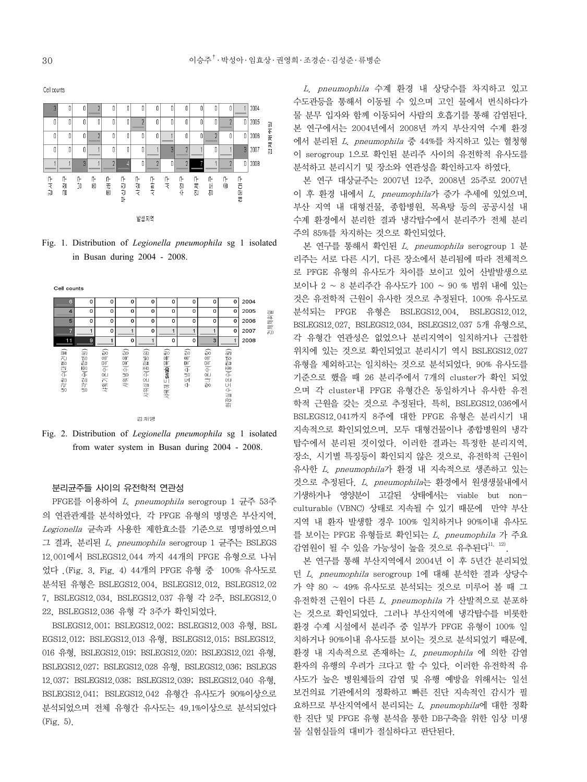$12004$  $\overline{0}$  $\sqrt{ }$  $\sqrt{ }$  $\overline{0}$  2005  $\overline{1}$  $\overline{0}$  $\sqrt{2}$  $\overline{0}$  $\overline{1}$  $\mathbf{r}$  $\overline{a}$  $\overline{1}$  $\sqrt{ }$  $\overline{a}$  $\overline{2}$  $\sqrt{ }$  $\overline{2}$  $\bar{a}$ 不下  $\mathbb{I}$  $\mathbf 0$  $\mathbf 0$  $\overline{2}$  $\vert 0 \vert$  $\mathbb O$  $\mathbb I$  $\mathbb I$  $\overline{0}$  $\begin{array}{c} \n\end{array}$  $\mathbb I$  $0 2006$  $\overline{1}$  $\overline{2}$ 云 o  $3 2007$  $\overline{0}$  $\overline{1}$  $\overline{0}$  $\overline{0}$  $\overline{0}$  $\overline{a}$  $\overline{2}$ -0  $\mathbf{0}$  $\overline{2}$  $\mathbf 0$  $\overline{2}$  $0 - 2008$ 감서구 叶<br>网 巾 도우자 十天  $+84$ 下下  $\frac{1}{2}$ 유 압 동래구 부산진구 사하구 下古明霜 ñ۲ ā  $\overline{\delta}$ 0 발생지역

Fig. 1. Distribution of *Legionella pneumophila* sg 1 isolated in Busan during 2004 - 2008.



Fig. 2. Distribution of *Legionella pneumophila* sg 1 isolated from water system in Busan during 2004 - 2008.

## 분리균주들 사이의 유전학적 연관성

PFGE를 이용하여 L. pneumophila serogroup 1 균주 53주 의 연관관계를 분석하였다. 각 PFGE 유형의 명명은 부산지역, Legionella 균속과 사용한 제한효소를 기준으로 명명하였으며 그 결과, 분리된 L. pneumophila serogroup 1 균주는 BSLEGS 12.001에서 BSLEGS12.044 까지 44개의 PFGE 유형으로 나뉘 었다 .(Fig. 3, Fig. 4) 44개의 PFGE 유형 중 100% 유사도로 분석된 유형은 BSLEGS12.004, BSLEGS12.012, BSLEGS12.02 7, BSLEGS12.034, BSLEGS12.037 유형 각 2주, BSLEGS12.0 22, BSLEGS12.036 유형 각 3주가 확인되었다.

BSLEGS12.001; BSLEGS12.002; BSLEGS12.003 유형, BSL EGS12.012; BSLEGS12.013 유형, BSLEGS12.015; BSLEGS12. 016 유형, BSLEGS12.019; BSLEGS12.020; BSLEGS12.021 유형, BSLEGS12.027; BSLEGS12.028 유형, BSLEGS12.036; BSLEGS 12.037; BSLEGS12.038; BSLEGS12.039; BSLEGS12.040 유형, BSLEGS12.041; BSLEGS12.042 유형간 유사도가 90%이상으로 분석되었으며 전체 유형간 유사도는 49.1%이상으로 분석되었다 (Fig. 5).

L. pneumophila 수계 환경 내 상당수를 차지하고 있고 수도관등을 통해서 이동될 수 있으며 고인 물에서 번식하다가 물 분무 입자와 함께 이동되어 사람의 호흡기를 통해 감염된다. 본 연구에서는 2004년에서 2008년 까지 부산지역 수계 환경 에서 분리된 L. pneumophila 중 44%를 차지하고 있는 혈청형 이 serogroup 1으로 확인된 분리주 사이의 유전학적 유사도를 분석하고 분리시기 및 장소와 연관성을 확인하고자 하였다.

본 연구 대상균주는 2007년 12주, 2008년 25주로 2007년 이 후 환경 내에서 L. pneumophila가 증가 추세에 있었으며, 부산 지역 내 대형건물, 종합병원, 목욕탕 등의 공공시설 내 수계 환경에서 분리한 결과 냉각탑수에서 분리주가 전체 분리 주의 85%를 차지하는 것으로 확인되었다.

본 연구를 통해서 확인된 L. pneumophila serogroup 1 분 리주는 서로 다른 시기, 다른 장소에서 분리됨에 따라 전체적으 로 PFGE 유형의 유사도가 차이를 보이고 있어 산발발생으로 보이나 2 ~ 8 분리주간 유사도가 100 ~ 90 % 범위 내에 있는 것은 유전학적 근원이 유사한 것으로 추정된다. 100% 유사도로 분석되는 PFGE 유형은 BSLEGS12.004, BSLEGS12.012, BSLEGS12.027, BSLEGS12.034, BSLEGS12.037 5개 유형으로, 각 유형간 연관성은 없었으나 분리지역이 일치하거나 근접한 위치에 있는 것으로 확인되었고 분리시기 역시 BSLEGS12.027 유형을 제외하고는 일치하는 것으로 분석되었다. 90% 유사도를 기준으로 했을 때 26 분리주에서 7개의 cluster가 확인 되었 으며 각 cluster내 PFGE 유형간은 동일하거나 유사한 유전 학적 근원을 갖는 것으로 추정된다. 특히, BSLEGS12.036에서 BSLEGS12.041까지 8주에 대한 PFGE 유형은 분리시기 내 지속적으로 확인되었으며, 모두 대형건물이나 종합병원의 냉각 탑수에서 분리된 것이었다. 이러한 결과는 특정한 분리지역, 장소, 시기별 특징등이 확인되지 않은 것으로, 유전학적 근원이 유사한 L. pneumophila가 환경 내 지속적으로 생존하고 있는 것으로 추정된다. L. pneumophila는 환경에서 원생생물내에서 기생하거나 영양분이 고갈된 상태에서는 viable but nonculturable (VBNC) 상태로 지속될 수 있기 때문에 만약 부산 지역 내 환자 발생할 경우 100% 일치하거나 90%이내 유사도 를 보이는 PFGE 유형들로 확인되는 L. pneumophila 가 주요 감염원이 될 수 있을 가능성이 높을 것으로 유추된다<sup>11, 12)</sup>.

본 연구를 통해 부산지역에서 2004년 이 후 5년간 분리되었 던 L. pneumophila serogroup 1에 대해 분석한 결과 상당수 가 약 80 ~ 49% 유사도로 분석되는 것으로 미루어 볼 때 그 유전학전 근원이 다른 L. pneumophila 가 산발적으로 분포하 는 것으로 확인되었다. 그러나 부산지역에 냉각탑수를 비롯한 환경 수계 시설에서 분리주 중 일부가 PFGE 유형이 100% 일 치하거나 90%이내 유사도를 보이는 것으로 분석되었기 때문에, 환경 내 지속적으로 존재하는 L. pneumophila 에 의한 감염 환자의 유행의 우려가 크다고 할 수 있다. 이러한 유전학적 유 사도가 높은 병원체들의 감염 및 유행 예방을 위해서는 일선 보건의료 기관에서의 정확하고 빠른 진단 지속적인 감시가 필 요하므로 부산지역에서 분리되는 L. pneumophila에 대한 정확 한 진단 및 PFGE 유형 분석을 통한 DB구축을 위한 임상 미생 물 실험실들의 대비가 절실하다고 판단된다.

Cell counts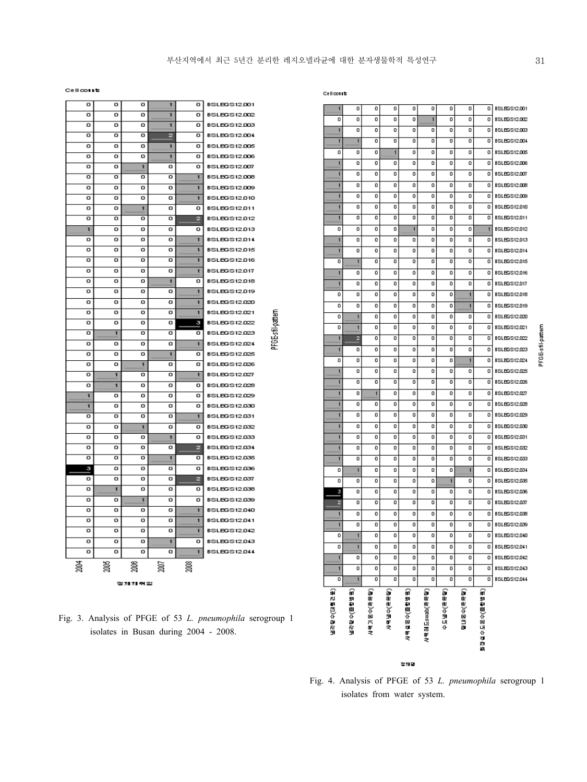PFGE-sfil-pattern

Cellcourts

| o      | o              | o                       | $\overline{\mathbf{1}}$ | о              | <b>BSLEGS12.001</b>                        |  |  |  |  |  |  |  |
|--------|----------------|-------------------------|-------------------------|----------------|--------------------------------------------|--|--|--|--|--|--|--|
| o      | o              | ο                       | 1                       | o              | <b>BSLEGS12.002</b>                        |  |  |  |  |  |  |  |
| o      | ο              | ο                       | 1                       | ο              | <b>BSLEGS12.003</b>                        |  |  |  |  |  |  |  |
| Ω      | Ω              | ο                       | 2                       | ο              | <b>BSLEGS12.004</b>                        |  |  |  |  |  |  |  |
| o      | o              | o                       | 1                       | o              | <b>BSLEGS12.005</b>                        |  |  |  |  |  |  |  |
| o      | o              | o                       | 1                       | ο              | <b>BSLEGS12.006</b>                        |  |  |  |  |  |  |  |
| o      | o              | 1                       | o                       | o              | <b>BSLEGS12.007</b>                        |  |  |  |  |  |  |  |
| ō      | o              | o                       | o                       | $\overline{1}$ | <b>BSLEGS12.008</b>                        |  |  |  |  |  |  |  |
| o      | o              | o                       | o                       | 1              | <b>BSLEGS12.009</b>                        |  |  |  |  |  |  |  |
| o      | o              | o                       | o                       | 1              | <b>BSLEGS12.010</b>                        |  |  |  |  |  |  |  |
| o      | o              | $\overline{\mathbf{1}}$ | o                       | ο              | <b>BSLEGS12.011</b>                        |  |  |  |  |  |  |  |
| ο      | ο              | ο                       | ο                       | 2              | <b>BSLEGS12.012</b>                        |  |  |  |  |  |  |  |
| 1      | ο              | ο                       | o                       | о              | <b>BSLEGS12.013</b>                        |  |  |  |  |  |  |  |
| ο      | ο              | ο                       | ο                       | Ŧ              | <b>BSLEGS12.014</b>                        |  |  |  |  |  |  |  |
| o      | o              | o                       | o                       | 1              | <b>BSLEGS12.015</b>                        |  |  |  |  |  |  |  |
| o      | o              | o                       | o                       | 1              | <b>BSLEGS12.016</b>                        |  |  |  |  |  |  |  |
| o      | o              | o                       | o                       | 1              | <b>BSLEGS12.017</b>                        |  |  |  |  |  |  |  |
| o      | o              | o                       | 1                       | ο              | <b>BSLEGS12.018</b>                        |  |  |  |  |  |  |  |
| o      | ο              | ο                       | o                       | 1              | <b>BSLEGS12.019</b>                        |  |  |  |  |  |  |  |
| o      | o              | o                       | o                       | 1              | BSLEGS12.020                               |  |  |  |  |  |  |  |
| o      | o              | o                       | o                       | 1              | <b>BSLEGS12.021</b>                        |  |  |  |  |  |  |  |
| ο      | o              | o                       | o                       | з              | <b>BSLEGS12.022</b>                        |  |  |  |  |  |  |  |
| o      | 1              | o                       | o                       | o              | BSLEGS12.00                                |  |  |  |  |  |  |  |
| o      | o              | ο                       | o                       | 1              | <b>BSLEGS12.024</b>                        |  |  |  |  |  |  |  |
| o      | o              | o                       | 1                       | o              | <b>BSLEGS12.025</b>                        |  |  |  |  |  |  |  |
| o      | o              | 1                       | o                       | o              | <b>BSLEGS12.026</b>                        |  |  |  |  |  |  |  |
| n      | ī              | ο                       | n                       | ī              | <b>BSLEGS12.027</b>                        |  |  |  |  |  |  |  |
| ο      | 1              | ο                       | ο                       | о              | <b>BSLEGS12.028</b>                        |  |  |  |  |  |  |  |
| 1      | о              | o                       | n                       | o              | BSLEGS12.029                               |  |  |  |  |  |  |  |
| 1<br>o | o<br>o         | o<br>o                  | o<br>o                  | ο<br>1         | <b>BSLEGS12.030</b>                        |  |  |  |  |  |  |  |
| o      | ο              | $\blacksquare$          | o                       |                | <b>BSLEGS12.031</b>                        |  |  |  |  |  |  |  |
| o      | o              | o                       | 1                       | о<br>o         | <b>BSLEGS12.032</b><br><b>BSLEGS12.033</b> |  |  |  |  |  |  |  |
| o      | o              | o                       | o                       | e              | <b>BSLEGS12.034</b>                        |  |  |  |  |  |  |  |
| n      | o              | o                       | 1                       | о              | <b>BSLEGS12.035</b>                        |  |  |  |  |  |  |  |
| з      | o              | o                       | o                       | o              | <b>BSLEGS12.036</b>                        |  |  |  |  |  |  |  |
| o      | ο              | o                       | o                       | 2              | <b>BSLEGS12.037</b>                        |  |  |  |  |  |  |  |
| ο      | $\overline{1}$ | o                       | o                       | ο              | <b>BSLEGS12.038</b>                        |  |  |  |  |  |  |  |
| ο      | ο              | 1                       | o                       | ο              | <b>BSLEGS12.039</b>                        |  |  |  |  |  |  |  |
| ο      | ο              | ο                       | o                       | 1              | <b>BSLEGS12.040</b>                        |  |  |  |  |  |  |  |
| o      | o              | о                       | о                       | 1              | <b>BSLEGS12.041</b>                        |  |  |  |  |  |  |  |
| o      | o              | o                       | o                       | 1              | <b>BSLEGS12.042</b>                        |  |  |  |  |  |  |  |
| ο      | ο              | ο                       | $\overline{\mathbf{1}}$ | ο              | <b>BSLEGS12.043</b>                        |  |  |  |  |  |  |  |
| o      | o              | ο                       | ο                       | 1              | <b>BSLEGS12.044</b>                        |  |  |  |  |  |  |  |
| 2004   | ă              |                         | 2007                    | ã              |                                            |  |  |  |  |  |  |  |
|        |                |                         |                         |                |                                            |  |  |  |  |  |  |  |
|        | 겉처치 취일         |                         |                         |                |                                            |  |  |  |  |  |  |  |

Fig. 3. Analysis of PFGE of 53 *L. pneumophila* serogroup 1 isolates in Busan during 2004 - 2008.

| 0              | o          | o           | o         | o           | 1             | o         | o         | o            | <b>BSLEGS12.002</b>                        |
|----------------|------------|-------------|-----------|-------------|---------------|-----------|-----------|--------------|--------------------------------------------|
| 1              | о          | о           | о         | o           | о             | o         | o         | o            | <b>BSLEGS12.003</b>                        |
| 1              | 1          | o           | o         | o           | o             | 0         | 0         | 0            | <b>BSLEGS12.004</b>                        |
| 0              | о          | о           | 1         | o           | о             | 0         | o         | o            | <b>BSLEGS12.005</b>                        |
| $\mathbf{1}$   | 0          | o           | о         | o           | о             | 0         | 0         | o            | <b>BSLEGS12.006</b>                        |
| 1              | ٥          | о           | о         | о           | о             | о         | 0         | о            | <b>BSLEGS12.007</b>                        |
| 1              | 0          | o           | o         | o           | o             | 0         | 0         | o            | <b>BSLEGS12.008</b>                        |
| 1              | o          | о           | o         | o           | о             | 0         | o         | o            | <b>BSLEGS12.009</b>                        |
| 1              | 0          | 0           | 0         | o           | o             | 0         | 0         | 0            | <b>BSLEGS12.010</b>                        |
| $\overline{1}$ | o          | 0           | 0         | o           | o             | 0         | o         | 0            | <b>BSLEGS12.011</b>                        |
| o              | 0          | 0           | o         | 1           | o             | 0         | 0         | 1            | <b>BSLEGS12.012</b>                        |
| 1              | 0          | o           | 0         | o           | o             | 0         | 0         | o            | <b>BSLEGS12.013</b>                        |
| 1              | о          | о           | о         | ٥           | о             | о         | о         | o            | <b>BSLEGS12.014</b>                        |
| о              | 1          | о           | о         | o           | ٥             | o         | o         | o            | <b>BSLEGS12.015</b>                        |
| $\mathbf{1}$   | ٥          | o           | о         | о           | o             | o         | o         | o            | <b>BSLEGS12.016</b>                        |
| 1              | о          | о           | о         | о           | о             | 0         | o         | о            | <b>BSLEGS12.017</b>                        |
| o              | 0          | 0           | o         | o           | o             | 0         | 1         | 0            | <b>BSLEGS12.018</b>                        |
| о              | o          | о           | o         | o           | о             | 0         | 1         | o            | <b>BSLEGS12.019</b>                        |
| o              | 1          | o           | 0         | 0           | o             | 0         | 0         | 0            | BSLEGS12.020                               |
| o              | 1          | о           | о         | о           | о             | o         | o         | o            | <b>BSLEGS12.021</b>                        |
| $\mathbf{1}$   | 2          | о           | о         | о           | o             | o         | o         | o            | <b>BSLEGS12.022</b>                        |
| $\mathbf{1}$   | ٥          | о           | о         | o           | о             | o         | o         | o            | <b>BSLEGS12.023</b>                        |
| о              | ٥          | о           | о         | ٥           | ٥             | о         | 1         | о            | <b>BSLEGS12.024</b>                        |
| 1              | о          | о           | o         | о           | о             | 0         | 0         | o            | <b>BSLEGS12.025</b>                        |
| $\overline{1}$ | o          | o           | o         | o           | o             | o         | o         | o            | <b>BSLEGS12.026</b>                        |
| $\mathbf{1}$   | 0          | 1           | 0         | о           | о             | o         | o         | o            | <b>BSLEGS12.027</b>                        |
| 1              | 0          | о           | 0         | o           | о             | 0         | 0         | o            | <b>BSLEGS12.028</b>                        |
| 1              | o          | о           | о         | о           | о             | o         | o         | o            | <b>BSLEGS12.029</b>                        |
| $\mathbf{1}$   | 0          | o           | o         | o           | o             | o         | 0         | o            | <b>BSLEGS12.030</b>                        |
| 1              | ٥          | о           | о         | о           | ٥             | о         | ٥         | о            | <b>BSLEGS12.031</b>                        |
| 1              | o          | o           | o         | o           | o             | o         | o         | o            | <b>BSLEGS12.032</b>                        |
| 1              | o          | o           | 0         | 0           | o             | 0         | 0         | 0            | <b>BSLEGS12.033</b>                        |
| o<br>O         | 1          | o<br>o      | o<br>o    | o<br>o      | o<br>o        | o         | 1         | o<br>o       | <b>BSLEGS12.034</b><br><b>BSLEGS12.035</b> |
|                | 0<br>o     | о           | о         | о           | о             | 1<br>о    | 0<br>o    | o            | <b>BSLEGS12.036</b>                        |
| 3<br>2         | o          | о           | о         | 0           | о             | o         | o         | 0            | <b>BSLEGS12.037</b>                        |
| 1              | о          | о           | о         | о           | о             | о         | о         | ٥            | <b>BSLEGS12.038</b>                        |
| 1              | o          | o           | o         | o           | o             | 0         | o         | 0            | <b>BSLEGS12.039</b>                        |
| 0              | 1          | О           | 0         | О           | o             | 0         | 0         | 0            | <b>BSLEGS12.040</b>                        |
| o              | 1          | o           | o         | o           | o             | o         | o         | o            | <b>BSLEGS12.041</b>                        |
| 1              | o          | o           | o         | o           | o             | o         | o         | 0            | <b>BSLEGS12.042</b>                        |
| 1              | o          | o           | o         | o           | o             | o         | o         | 0            | BSLEGS12.043                               |
| o              | 1          | o           | o         | o           | o             | o         | o         | o            | <b>BSLEGS12.044</b>                        |
|                |            |             |           |             |               |           |           |              |                                            |
| (공간통))수업(대통)   | (路程管理)小岛为军 | 사위기 온수(목욕탕) | (望着头)小型的女 | 사위실론수(프랑법원) | 사위허드smap(목욕담) | (品質の)小型出す | [A는눈/누르바라 | 잡실수도로수(홈탑법원) |                                            |

결체명

Fig. 4. Analysis of PFGE of 53 *L. pneumophila* serogroup 1 isolates from water system.

PFGE-sfil-pattern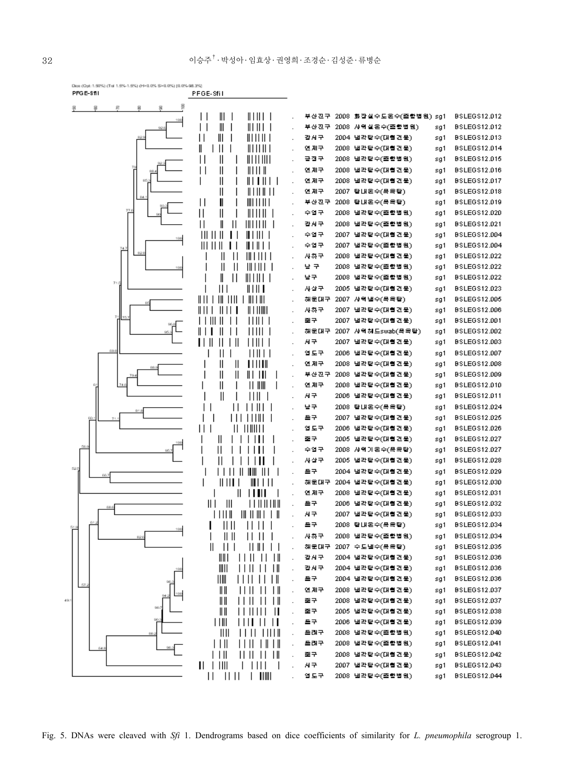

Fig. 5. DNAs were cleaved with *Sfi* 1. Dendrograms based on dice coefficients of similarity for *L. pneumophila* serogroup 1.